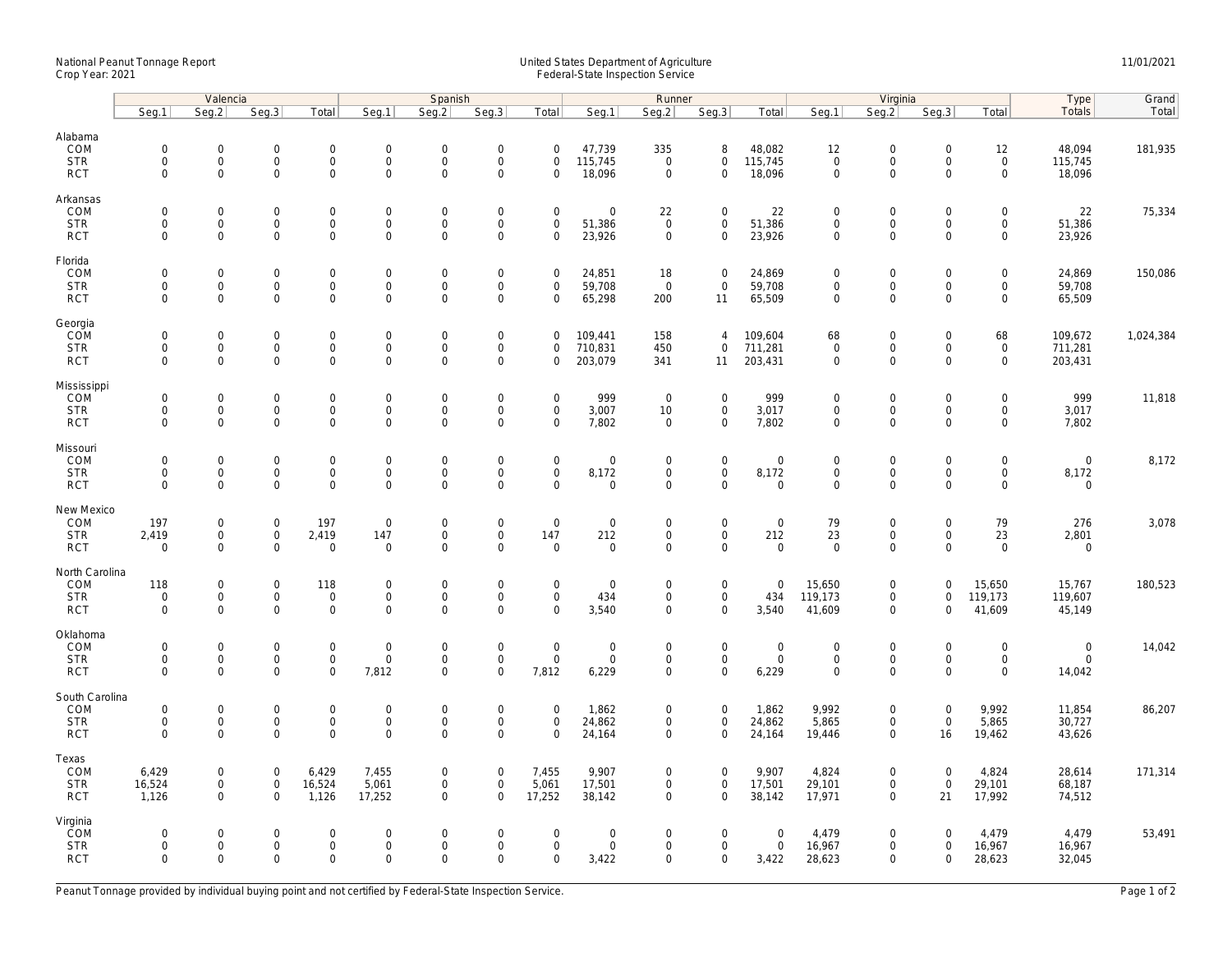## National Peanut Tonnage Report United States Department of Agriculture 11/01/2021<br>Crop Year: 2021 Federal-State Inspection Service

|                              |                            | Valencia                                   |                                    |                                            | Spanish                            |                            |                                            |                                    |                            | Runner                             |                                            |                       |                                    | Virginia                                   | Type                       | Grand                                      |                      |           |
|------------------------------|----------------------------|--------------------------------------------|------------------------------------|--------------------------------------------|------------------------------------|----------------------------|--------------------------------------------|------------------------------------|----------------------------|------------------------------------|--------------------------------------------|-----------------------|------------------------------------|--------------------------------------------|----------------------------|--------------------------------------------|----------------------|-----------|
|                              | Seq.1                      | Seg.2                                      | Seq.3                              | Total                                      | Seg.1                              | Seq.2                      | Seg.3                                      | Total                              | Seg.1                      | Seg.2                              | Seq.3                                      | Total                 | Seg.1                              | Seq.2                                      | Seg.3                      | Total                                      | Totals               | Total     |
| Alabama<br>COM<br><b>STR</b> | $\mathbf 0$<br>$\mathbf 0$ | $\mathsf{O}\xspace$<br>$\mathbf 0$         | $\mathbf 0$<br>$\mathbf 0$         | $\mathsf{O}\xspace$<br>$\mathsf{O}\xspace$ | $\mathbf 0$<br>$\mathsf{O}$        | $\mathbf 0$<br>$\mathbf 0$ | $\mathsf{O}\xspace$<br>$\mathsf 0$         | $\mathsf 0$<br>$\mathbf 0$         | 47,739<br>115,745          | 335<br>$\mathbf 0$                 | 8<br>$\mathsf{O}\xspace$                   | 48,082<br>115,745     | 12<br>$\mathbf 0$                  | $\mathsf{O}\xspace$<br>$\mathsf{O}$        | $\mathsf 0$<br>$\mathbf 0$ | 12<br>$\mathsf{O}\xspace$                  | 48,094<br>115,745    | 181,935   |
| <b>RCT</b>                   | $\mathbf 0$                | $\mathbf{O}$                               | $\mathbf 0$                        | $\mathbf 0$                                | $\mathsf{O}$                       | $\mathsf 0$                | $\mathsf 0$                                | $\mathbf 0$                        | 18,096                     | $\mathsf 0$                        | $\mathbf 0$                                | 18,096                | $\mathsf{O}\xspace$                | $\mathsf{O}\xspace$                        | $\mathbf 0$                | $\mathsf{O}$                               | 18,096               |           |
| Arkansas                     |                            |                                            |                                    |                                            |                                    |                            |                                            |                                    |                            |                                    |                                            |                       |                                    |                                            |                            |                                            |                      |           |
| COM<br><b>STR</b>            | $\mathbf 0$<br>$\mathbf 0$ | $\mathbf 0$<br>$\mathbf{O}$                | $\mathbf 0$<br>$\mathbf 0$         | $\mathbf 0$<br>$\mathbf{0}$                | $\mathbf 0$<br>$\mathsf{O}$        | $\mathbf 0$<br>$\mathbf 0$ | $\mathbf 0$<br>$\mathsf{O}\xspace$         | $\mathbf 0$<br>$\mathbf 0$         | $\mathbf 0$<br>51,386      | 22<br>$\mathbf 0$                  | $\mathbf 0$<br>$\mathbf 0$                 | 22<br>51,386          | $\mathbf 0$<br>$\mathbf 0$         | $\mathbf 0$<br>$\mathsf{O}$                | $\mathbf 0$<br>$\mathbf 0$ | $\mathsf{O}\xspace$<br>$\mathbf{0}$        | 22<br>51,386         | 75,334    |
| <b>RCT</b>                   | $\mathbf 0$                | $\mathbf 0$                                | $\mathbf 0$                        | $\mathbf 0$                                | $\mathbf 0$                        | $\mathbf 0$                | $\mathbf 0$                                | $\mathbf 0$                        | 23,926                     | $\mathbf 0$                        | $\mathbf 0$                                | 23,926                | $\mathbf 0$                        | $\Omega$                                   | $\Omega$                   | $\mathbf 0$                                | 23,926               |           |
| Florida                      |                            |                                            |                                    |                                            |                                    |                            |                                            |                                    |                            |                                    |                                            |                       |                                    |                                            |                            |                                            |                      |           |
| COM<br><b>STR</b>            | $\mathbf 0$<br>$\mathbf 0$ | $\mathsf{O}\xspace$<br>$\mathbf 0$         | $\mathbf 0$<br>$\mathbf 0$         | $\mathbf 0$<br>$\mathsf{O}\xspace$         | $\mathbf 0$<br>$\mathsf{O}$        | $\mathbf 0$<br>$\mathsf 0$ | $\mathsf{O}\xspace$<br>$\mathsf{O}\xspace$ | $\mathsf 0$<br>$\mathbf 0$         | 24,851<br>59,708           | 18<br>$\overline{0}$               | $\mathbf 0$<br>$\mathbf 0$                 | 24,869<br>59,708      | $\mathbf 0$<br>$\mathbf 0$         | $\mathbf 0$<br>$\mathbf 0$                 | $\mathsf 0$<br>$\mathsf 0$ | $\mathsf{O}\xspace$<br>$\mathbf 0$         | 24,869<br>59,708     | 150,086   |
| <b>RCT</b>                   | $\mathbf 0$                | $\mathbf 0$                                | $\mathbf 0$                        | $\mathbf 0$                                | $\mathbf 0$                        | $\mathbf 0$                | $\mathbf 0$                                | $\mathbf 0$                        | 65,298                     | 200                                | 11                                         | 65,509                | $\mathbf 0$                        | $\mathbf 0$                                | $\Omega$                   | $\mathbf 0$                                | 65,509               |           |
| Georgia                      |                            |                                            |                                    |                                            |                                    |                            |                                            |                                    |                            |                                    |                                            |                       |                                    |                                            |                            |                                            |                      |           |
| COM<br><b>STR</b>            | $\mathbf 0$<br>0           | $\mathbf{0}$<br>$\mathsf{O}\xspace$        | $\mathbf 0$<br>$\mathbf 0$         | $\mathbf 0$<br>$\mathbf 0$                 | $\mathsf{O}$<br>$\mathsf{O}$       | $\mathbf 0$<br>$\mathbf 0$ | $\mathbf 0$<br>$\mathsf{O}\xspace$         | $\mathbf 0$<br>0                   | 109,441<br>710,831         | 158<br>450                         | $\overline{4}$<br>$\mathsf{O}\xspace$      | 109,604<br>711,281    | 68<br>$\mathbf 0$                  | $\mathbf 0$<br>$\mathsf{O}\xspace$         | $\mathbf 0$<br>0           | 68<br>$\mathbf 0$                          | 109,672<br>711,281   | 1,024,384 |
| <b>RCT</b>                   | $\mathbf 0$                | $\mathbf 0$                                | $\mathbf 0$                        | $\mathbf{O}$                               | $\mathbf 0$                        | $\mathbf 0$                | $\mathbf 0$                                | $\mathbf 0$                        | 203,079                    | 341                                | 11                                         | 203,431               | $\mathbf 0$                        | $\mathbf 0$                                | $\mathbf 0$                | $\mathbf{0}$                               | 203,431              |           |
| Mississippi                  |                            |                                            |                                    |                                            |                                    |                            |                                            |                                    |                            |                                    |                                            |                       |                                    |                                            |                            |                                            |                      |           |
| COM<br><b>STR</b>            | $\mathbf 0$<br>$\mathbf 0$ | $\mathsf{O}\xspace$<br>$\mathsf{O}\xspace$ | $\mathbf 0$<br>$\mathbf 0$         | $\mathsf{O}\xspace$<br>0                   | $\mathbf 0$<br>$\mathsf{O}\xspace$ | $\mathbf 0$<br>$\mathbf 0$ | $\mathsf{O}\xspace$<br>$\mathsf{O}\xspace$ | $\mathbf 0$<br>$\mathbf 0$         | 999<br>3,007               | $\overline{0}$<br>10               | $\mathsf{O}\xspace$<br>$\mathsf{O}\xspace$ | 999<br>3,017          | $\mathbf 0$<br>$\mathsf{O}\xspace$ | $\mathbf 0$<br>$\mathsf{O}\xspace$         | $\mathbf 0$<br>$\mathbf 0$ | $\mathsf{O}\xspace$<br>$\mathsf{O}\xspace$ | 999<br>3,017         | 11,818    |
| <b>RCT</b>                   | $\mathbf 0$                | $\mathbf 0$                                | $\mathbf 0$                        | $\mathbf 0$                                | $\mathbf 0$                        | $\mathsf 0$                | $\mathbf 0$                                | $\mathbf 0$                        | 7,802                      | $\mathsf 0$                        | $\mathbf 0$                                | 7,802                 | $\mathsf{O}\xspace$                | $\mathbf 0$                                | $\mathbf 0$                | $\mathbf 0$                                | 7,802                |           |
| Missouri                     |                            |                                            |                                    |                                            |                                    |                            |                                            |                                    |                            |                                    |                                            |                       |                                    |                                            |                            |                                            |                      |           |
| COM<br><b>STR</b>            | $\mathbf 0$<br>$\mathbf 0$ | $\mathsf{O}\xspace$<br>$\mathsf{O}$        | $\mathbf 0$<br>$\mathsf{O}\xspace$ | $\mathsf{O}\xspace$<br>$\mathbf 0$         | $\mathbf 0$<br>$\mathsf{O}$        | $\mathbf 0$<br>$\mathsf 0$ | $\mathsf{O}\xspace$<br>$\mathsf 0$         | $\mathbf 0$<br>$\mathsf{O}\xspace$ | $\mathbf 0$<br>8,172       | $\mathbf 0$<br>$\mathsf{O}\xspace$ | $\mathbf 0$<br>$\mathbf 0$                 | $\mathbf 0$<br>8,172  | $\mathbf 0$<br>$\mathsf{O}\xspace$ | $\mathbf 0$<br>$\mathsf{O}$                | $\mathbf 0$<br>$\mathbf 0$ | $\mathsf{O}\xspace$<br>$\mathsf{O}$        | $\mathbf 0$<br>8,172 | 8,172     |
| <b>RCT</b>                   | $\Omega$                   | $\mathsf{O}\xspace$                        | $\mathbf 0$                        | $\mathbf 0$                                | $\mathbf 0$                        | $\mathbf 0$                | $\mathsf{O}\xspace$                        | $\Omega$                           | $\mathbf 0$                | 0                                  | $\mathbf 0$                                | $\mathbf 0$           | $\mathbf 0$                        | $\Omega$                                   | 0                          | $\mathbf 0$                                | $\mathbf 0$          |           |
| New Mexico                   |                            |                                            |                                    |                                            |                                    |                            |                                            |                                    |                            |                                    |                                            |                       |                                    |                                            |                            |                                            |                      |           |
| COM<br><b>STR</b>            | 197<br>2,419               | $\mathsf{O}\xspace$<br>$\mathbf 0$         | $\mathbf 0$<br>$\mathsf 0$         | 197<br>2,419                               | $\mathbf 0$<br>147                 | $\mathbf 0$<br>$\mathsf 0$ | $\mathsf{O}\xspace$<br>$\mathsf{O}\xspace$ | $\mathsf 0$<br>147                 | $\mathsf{O}\xspace$<br>212 | $\mathbf 0$<br>$\mathbf 0$         | $\mathbf 0$<br>$\mathbf 0$                 | $\mathbf 0$<br>212    | 79<br>23                           | $\mathsf{O}\xspace$<br>$\mathsf{O}\xspace$ | $\mathsf 0$<br>$\mathsf 0$ | 79<br>23                                   | 276<br>2,801         | 3,078     |
| <b>RCT</b>                   | $\mathbf 0$                | $\mathbf{0}$                               | $\mathbf 0$                        | $\mathbf 0$                                | $\mathbf 0$                        | $\mathbf 0$                | $\mathbf 0$                                | $\mathbf 0$                        | $\mathbf 0$                | $\mathbf 0$                        | $\mathbf{0}$                               | $\mathbf 0$           | $\mathbf 0$                        | $\mathbf 0$                                | $\Omega$                   | $\mathbf 0$                                | $\mathbf{0}$         |           |
| North Carolina               |                            |                                            |                                    |                                            |                                    |                            |                                            |                                    |                            |                                    |                                            |                       |                                    |                                            | $\Omega$                   |                                            |                      |           |
| COM<br><b>STR</b>            | 118<br>$\mathbf 0$         | $\mathbf 0$<br>$\mathbf 0$                 | $\mathbf 0$<br>$\mathsf 0$         | 118<br>$\mathsf{O}\xspace$                 | $\mathbf 0$<br>$\mathbf 0$         | $\mathbf 0$<br>$\mathbf 0$ | $\mathbf 0$<br>$\mathsf{O}\xspace$         | $\mathbf 0$<br>$\mathsf 0$         | $\mathbf 0$<br>434         | $\mathbf 0$<br>$\mathbf 0$         | $\mathbf 0$<br>$\mathsf{O}\xspace$         | $\overline{0}$<br>434 | 15,650<br>119,173                  | $\mathbf 0$<br>$\mathsf{O}\xspace$         | $\mathbf 0$                | 15,650<br>119,173                          | 15,767<br>119,607    | 180,523   |
| <b>RCT</b>                   | $\mathbf 0$                | $\mathbf 0$                                | $\mathbf 0$                        | $\mathbf 0$                                | $\mathbf 0$                        | $\mathbf 0$                | $\mathbf 0$                                | $\Omega$                           | 3,540                      | $\mathbf 0$                        | $\mathbf{0}$                               | 3,540                 | 41,609                             | $\mathbf 0$                                | $\Omega$                   | 41,609                                     | 45,149               |           |
| Oklahoma<br>COM              | $\mathbf 0$                | $\mathsf{O}\xspace$                        | $\mathbf 0$                        | $\mathsf{O}\xspace$                        | $\mathbf 0$                        | $\mathbf 0$                | $\mathsf{O}\xspace$                        | $\mathsf{O}\xspace$                | $\mathsf{O}\xspace$        | $\mathbf 0$                        | $\mathbf 0$                                | $\boldsymbol{0}$      |                                    | $\mathsf{O}\xspace$                        | $\Omega$                   | $\mathsf{O}\xspace$                        | $\mathbf 0$          | 14,042    |
| <b>STR</b>                   | $\mathbf 0$                | $\mathbf 0$                                | $\mathsf 0$                        | $\mathbf 0$                                | $\mathsf 0$                        | $\mathsf 0$                | $\mathsf{O}\xspace$                        | $\mathsf 0$                        | $\mathsf{O}\xspace$        | $\mathbf 0$                        | $\mathbf 0$                                | $\mathsf 0$           | 0<br>$\mathsf{O}\xspace$           | $\mathbf 0$                                | $\mathbf 0$                | $\mathbf 0$                                | $\mathbf 0$          |           |
| <b>RCT</b>                   | $\mathbf 0$                | $\mathbf 0$                                | $\mathbf 0$                        | $\mathbf 0$                                | 7,812                              | $\mathbf 0$                | $\mathbf 0$                                | 7,812                              | 6,229                      | $\mathbf 0$                        | $\mathbf 0$                                | 6,229                 | $\mathbf 0$                        | $\mathbf 0$                                | $\Omega$                   | $\mathbf 0$                                | 14,042               |           |
| South Carolina<br>COM        | $\mathbf 0$                | $\mathsf{O}\xspace$                        | $\mathbf 0$                        | $\mathbf 0$                                | $\boldsymbol{0}$                   | $\mathbf 0$                | $\mathsf{O}\xspace$                        | $\mathbf 0$                        | 1,862                      | 0                                  | $\mathbf 0$                                | 1,862                 | 9,992                              | $\mathsf{O}\xspace$                        | $\mathbf 0$                | 9,992                                      | 11,854               | 86,207    |
| <b>STR</b>                   | $\mathbf 0$                | $\mathsf{O}\xspace$                        | $\mathsf{O}\xspace$                | $\mathsf 0$                                | $\mathsf{O}$                       | $\mathbf 0$                | $\mathsf 0$                                | $\mathbf 0$                        | 24,862                     | $\mathbf 0$                        | $\mathsf 0$                                | 24,862                | 5,865                              | $\mathbf 0$                                | $\mathbf 0$                | 5,865                                      | 30,727               |           |
| <b>RCT</b>                   | $\Omega$                   | $\mathbf{0}$                               | $\mathbf 0$                        | $\mathbf 0$                                | $\mathbf{0}$                       | $\Omega$                   | $\mathbf 0$                                | $\Omega$                           | 24,164                     | $\mathbf 0$                        | $\mathbf 0$                                | 24,164                | 19,446                             | $\mathbf 0$                                | 16                         | 19,462                                     | 43,626               |           |
| Texas<br>COM                 | 6,429                      | $\mathbf 0$                                | $\mathbf 0$                        | 6,429                                      | 7,455                              | $\mathbf 0$                | $\mathsf{O}\xspace$                        | 7,455                              | 9,907                      | $\mathbf 0$                        | $\mathbf 0$                                | 9,907                 | 4,824                              | $\mathbf 0$                                | $\mathsf 0$                | 4,824                                      | 28,614               | 171,314   |
| <b>STR</b>                   | 16,524                     | $\mathsf{O}\xspace$                        | $\mathbf 0$                        | 16,524                                     | 5,061                              | $\mathsf 0$                | $\mathsf 0$                                | 5,061                              | 17,501                     | 0                                  | $\mathbf 0$                                | 17,501                | 29,101                             | $\mathsf{O}\xspace$                        | $\mathsf 0$                | 29,101                                     | 68,187               |           |
| <b>RCT</b>                   | 1,126                      | $\mathbf{0}$                               | $\mathbf 0$                        | 1,126                                      | 17,252                             | $\mathbf 0$                | $\Omega$                                   | 17,252                             | 38,142                     | 0                                  | $\mathbf{0}$                               | 38,142                | 17,971                             | $\mathbf 0$                                | 21                         | 17,992                                     | 74,512               |           |
| Virginia<br><b>ČOM</b>       | $\mathbf 0$                | $\mathbf 0$                                | $\mathbf 0$                        | $\mathsf{O}\xspace$                        | $\mathbf 0$                        | $\mathbf 0$                | $\mathbf 0$                                | $\mathbf 0$                        | $\mathbf 0$                | 0                                  | $\mathbf 0$                                | $\mathbf 0$           | 4,479                              | $\mathbf 0$                                | $\Omega$                   | 4,479                                      | 4,479                | 53,491    |
| <b>STR</b>                   | $\mathbf 0$                | $\mathsf{O}\xspace$                        | $\mathbf 0$                        | $\mathsf{O}\xspace$                        | $\mathsf{O}\xspace$                | $\mathbf 0$                | $\mathsf{O}\xspace$                        | $\mathsf 0$                        | $\mathsf{O}\xspace$        | $\mathbf 0$                        | $\mathsf{O}\xspace$                        | $\mathsf{O}$          | 16,967                             | $\mathbf 0$                                | $\mathbf 0$                | 16,967                                     | 16,967               |           |
| <b>RCT</b>                   | $\Omega$                   | $\mathbf 0$                                | $\mathbf 0$                        | $\mathbf{O}$                               | $\mathbf 0$                        | $\mathbf 0$                | $\mathbf 0$                                | $\mathbf 0$                        | 3,422                      | $\mathbf 0$                        | $\mathbf{0}$                               | 3,422                 | 28,623                             | $\mathbf 0$                                | $\mathbf 0$                | 28,623                                     | 32,045               |           |

Peanut Tonnage provided by individual buying point and not certified by Federal-State Inspection Service. Page 1 of 2